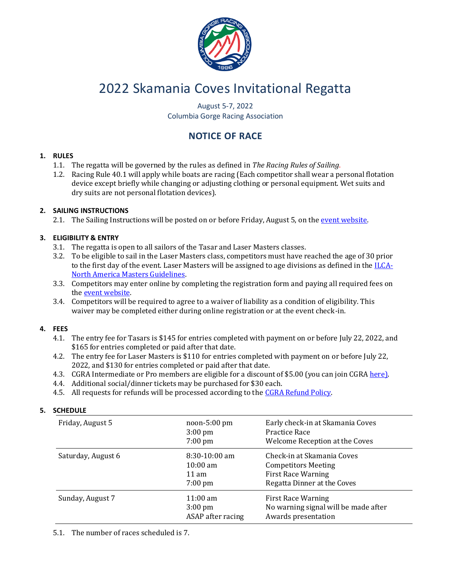

# 2022 Skamania Coves Invitational Regatta

August 5-7, 2022 Columbia Gorge Racing Association

# **NOTICE OF RACE**

#### **1. RULES**

- 1.1. The regatta will be governed by the rules as defined in *The Racing Rules of Sailing*.
- 1.2. Racing Rule 40.1 will apply while boats are racing (Each competitor shall wear a personal flotation device except briefly while changing or adjusting clothing or personal equipment. Wet suits and dry suits are not personal flotation devices).

#### **2. SAILING INSTRUCTIONS**

2.1. The Sailing Instructions will be posted on or before Friday, August 5, on the [event website.](https://www.regattanetwork.com/event/24190)

#### **3. ELIGIBILITY & ENTRY**

- 3.1. The regatta is open to all sailors of the Tasar and Laser Masters classes.
- 3.2. To be eligible to sail in the Laser Masters class, competitors must have reached the age of 30 prior to the first day of the event. Laser Masters will be assigned to age divisions as defined in th[e ILCA-](http://cgra.org/CGRA%20documents/Masters%20Rule%20Changes.pdf)[North America Masters Guidelines.](http://cgra.org/CGRA%20documents/Masters%20Rule%20Changes.pdf)
- 3.3. Competitors may enter online by completing the registration form and paying all required fees on the [event website.](https://www.regattanetwork.com/event/24190)
- 3.4. Competitors will be required to agree to a waiver of liability as a condition of eligibility. This waiver may be completed either during online registration or at the event check-in.

#### **4. FEES**

- 4.1. The entry fee for Tasars is \$145 for entries completed with payment on or before July 22, 2022, and \$165 for entries completed or paid after that date.
- 4.2. The entry fee for Laser Masters is \$110 for entries completed with payment on or before July 22, 2022, and \$130 for entries completed or paid after that date.
- 4.3. CGRA Intermediate or Pro members are eligible for a discount of \$5.00 (you can join CGRA [here\)](http://www.cgra.org/membership.htm).
- 4.4. Additional social/dinner tickets may be purchased for \$30 each.
- 4.5. All requests for refunds will be processed according to the [CGRA Refund Policy.](http://cgra.org/CGRA%20documents/Refund%20Policy.pdf)

| Friday, August 5   | $noon-5:00$ pm<br>$3:00 \text{ pm}$<br>$7:00 \text{ pm}$                      | Early check-in at Skamania Coves<br>Practice Race<br>Welcome Reception at the Coves                                  |
|--------------------|-------------------------------------------------------------------------------|----------------------------------------------------------------------------------------------------------------------|
| Saturday, August 6 | $8:30-10:00$ am<br>$10:00 \text{ am}$<br>$11 \text{ am}$<br>$7:00 \text{ pm}$ | Check-in at Skamania Coves<br><b>Competitors Meeting</b><br><b>First Race Warning</b><br>Regatta Dinner at the Coves |
| Sunday, August 7   | $11:00 \text{ am}$<br>$3:00 \text{ pm}$<br>ASAP after racing                  | <b>First Race Warning</b><br>No warning signal will be made after<br>Awards presentation                             |

## **5. SCHEDULE**

5.1. The number of races scheduled is 7.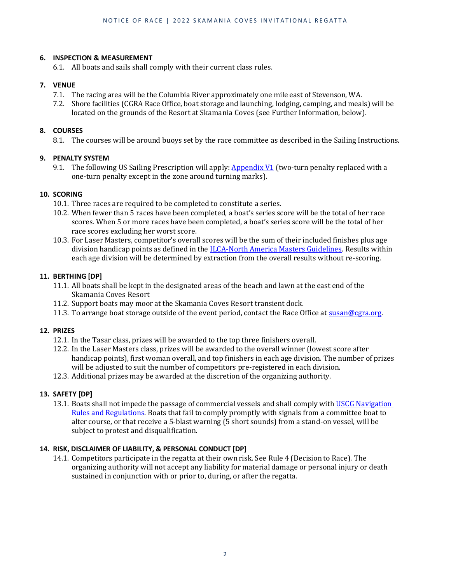#### **6. INSPECTION & MEASUREMENT**

6.1. All boats and sails shall comply with their current class rules.

#### **7. VENUE**

- 7.1. The racing area will be the Columbia River approximately one mile east of Stevenson, WA.
- 7.2. Shore facilities (CGRA Race Office, boat storage and launching, lodging, camping, and meals) will be located on the grounds of the Resort at Skamania Coves (see Further Information, below).

#### **8. COURSES**

8.1. The courses will be around buoys set by the race committee as described in the Sailing Instructions.

#### **9. PENALTY SYSTEM**

9.1. The following US Sailing Prescription will apply:  $\Delta$ *ppendix V1* (two-turn penalty replaced with a one-turn penalty except in the zone around turning marks).

#### **10. SCORING**

- 10.1. Three races are required to be completed to constitute a series.
- 10.2. When fewer than 5 races have been completed, a boat's series score will be the total of her race scores. When 5 or more races have been completed, a boat's series score will be the total of her race scores excluding her worst score.
- 10.3. For Laser Masters, competitor's overall scores will be the sum of their included finishes plus age division handicap points as defined in the [ILCA-North America Masters Guidelines.](http://cgra.org/CGRA%20documents/Masters%20Rule%20Changes.pdf) Results within each age division will be determined by extraction from the overall results without re-scoring.

#### **11. BERTHING [DP]**

- 11.1. All boats shall be kept in the designated areas of the beach and lawn at the east end of the Skamania Coves Resort
- 11.2. Support boats may moor at the Skamania Coves Resort transient dock.
- 11.3. To arrange boat storage outside of the event period, contact the Race Office a[t susan@cgra.org.](mailto:susan@cgra.org)

#### **12. PRIZES**

- 12.1. In the Tasar class, prizes will be awarded to the top three finishers overall.
- 12.2. In the Laser Masters class, prizes will be awarded to the overall winner (lowest score after handicap points), first woman overall, and top finishers in each age division. The number of prizes will be adjusted to suit the number of competitors pre-registered in each division.
- 12.3. Additional prizes may be awarded at the discretion of the organizing authority.

#### **13. SAFETY [DP]**

13.1. Boats shall not impede the passage of commercial vessels and shall comply with USCG Navigation [Rules and Regulations.](https://www.navcen.uscg.gov/?pageName=NavRulesAmalgamated) Boats that fail to comply promptly with signals from a committee boat to alter course, or that receive a 5-blast warning (5 short sounds) from a stand-on vessel, will be subject to protest and disqualification.

#### **14. RISK, DISCLAIMER OF LIABILITY, & PERSONAL CONDUCT [DP]**

14.1. Competitors participate in the regatta at their own risk. See Rule 4 (Decision to Race). The organizing authority will not accept any liability for material damage or personal injury or death sustained in conjunction with or prior to, during, or after the regatta.